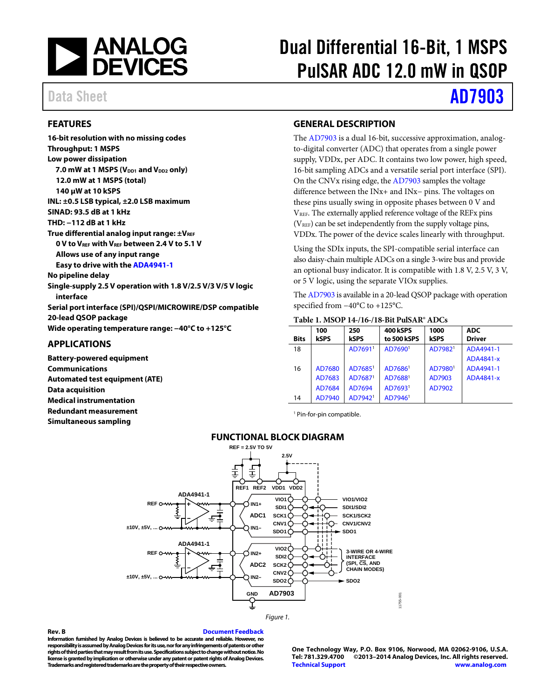

# Dual Differential 16-Bit, 1 MSPS PulSAR ADC 12.0 mW in QSOP

## Data Sheet **[AD7903](http://www.analog.com/AD7903?doc=AD7903.pdf)**

#### <span id="page-0-0"></span>**FEATURES**

**16-bit resolution with no missing codes Throughput: 1 MSPS Low power dissipation 7.0 mW at 1 MSPS (V<sub>DD1</sub> and V<sub>DD2</sub> only) 12.0 mW at 1 MSPS (total) 140 µW at 10 kSPS INL: ±0.5 LSB typical, ±2.0 LSB maximum SINAD: 93.5 dB at 1 kHz THD: −112 dB at 1 kHz True differential analog input range: ±VREF 0 V to VREF with VREF between 2.4 V to 5.1 V Allows use of any input range Easy to drive with th[e ADA4941-1](http://www.analog.com/ADA4941-1?doc=AD7903.pdf) No pipeline delay Single-supply 2.5 V operation with 1.8 V/2.5 V/3 V/5 V logic interface Serial port interface (SPI)/QSPI/MICROWIRE/DSP compatible 20-lead QSOP package Wide operating temperature range: −40°C to +125°C APPLICATIONS**

<span id="page-0-3"></span><span id="page-0-1"></span>**Battery-powered equipment Communications Automated test equipment (ATE) Data acquisition Medical instrumentation Redundant measurement Simultaneous sampling**

#### <span id="page-0-2"></span>**GENERAL DESCRIPTION**

The [AD7903](http://www.analog.com/AD7903?doc=AD7903.pdf) is a dual 16-bit, successive approximation, analogto-digital converter (ADC) that operates from a single power supply, VDDx, per ADC. It contains two low power, high speed, 16-bit sampling ADCs and a versatile serial port interface (SPI). On the CNVx rising edge, th[e AD7903](http://www.analog.com/AD7903?doc=AD7903.pdf) samples the voltage difference between the INx+ and INx− pins. The voltages on these pins usually swing in opposite phases between 0 V and VREF. The externally applied reference voltage of the REFx pins  $(V<sub>REF</sub>)$  can be set independently from the supply voltage pins, VDDx. The power of the device scales linearly with throughput.

Using the SDIx inputs, the SPI-compatible serial interface can also daisy-chain multiple ADCs on a single 3-wire bus and provide an optional busy indicator. It is compatible with 1.8 V, 2.5 V, 3 V, or 5 V logic, using the separate VIOx supplies.

Th[e AD7903](http://www.analog.com/AD7903?doc=AD7903.pdf) is available in a 20-lead QSOP package with operation specified from −40°C to +125°C.

| <b>Bits</b> | 100<br><b>kSPS</b> | 250<br><b>kSPS</b>  | <b>400 kSPS</b><br>to 500 kSPS | 1000<br><b>kSPS</b> | <b>ADC</b><br><b>Driver</b> |
|-------------|--------------------|---------------------|--------------------------------|---------------------|-----------------------------|
| 18          |                    | AD76911             | AD76901                        | AD7982 <sup>1</sup> | ADA4941-1                   |
|             |                    |                     |                                |                     | ADA4841-x                   |
| 16          | AD7680             | AD7685 <sup>1</sup> | AD7686 <sup>1</sup>            | AD7980 <sup>1</sup> | ADA4941-1                   |
|             | AD7683             | AD7687 <sup>1</sup> | AD7688 <sup>1</sup>            | AD7903              | ADA4841-x                   |
|             | AD7684             | AD7694              | AD76931                        | AD7902              |                             |
| 14          | AD7940             | AD7942 <sup>1</sup> | AD7946 <sup>1</sup>            |                     |                             |

#### **Table 1. MSOP 14-/16-/18-Bit PulSAR® ADCs**

<sup>1</sup> Pin-for-pin compatible.

#### **FUNCTIONAL BLOCK DIAGRAM**



#### **Rev. B [Document Feedback](https://form.analog.com/Form_Pages/feedback/documentfeedback.aspx?doc=AD7903.pdf&product=AD7903&rev=B)**

**Information furnished by Analog Devices is believed to be accurate and reliable. However, no responsibility is assumed by Analog Devices for its use, nor for any infringements of patents or other rights of third parties that may result from its use. Specifications subject to change without notice. No license is granted by implication or otherwise under any patent or patent rights of Analog Devices. Trademarks and registered trademarks are the property of their respective owners.**

**One Technology Way, P.O. Box 9106, Norwood, MA 02062-9106, U.S.A. Tel: 781.329.4700 ©2013–2014 Analog Devices, Inc. All rights reserved. [Technical Support](http://www.analog.com/en/content/technical_support_page/fca.html) [www.analog.com](http://www.analog.com/)**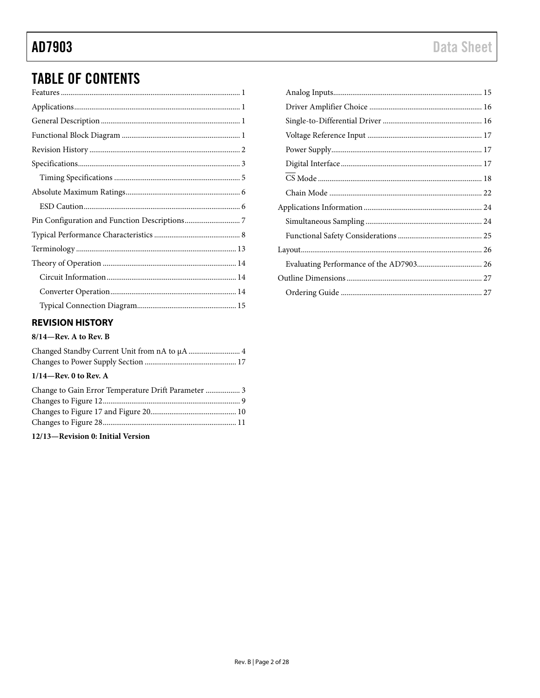## **TABLE OF CONTENTS**

### <span id="page-1-0"></span>**REVISION HISTORY**

### $8/14$ -Rev. A to Rev. B

| $1/14$ —Rev. 0 to Rev. A                            |  |
|-----------------------------------------------------|--|
| Change to Gain Error Temperature Drift Parameter  3 |  |
|                                                     |  |
|                                                     |  |
|                                                     |  |
|                                                     |  |

12/13-Revision 0: Initial Version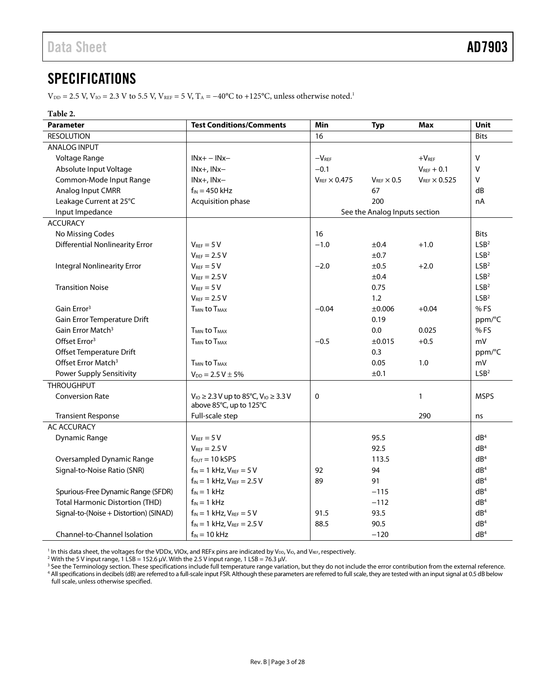## <span id="page-2-0"></span>**SPECIFICATIONS**

 $V_{\text{DD}} = 2.5$  V,  $V_{\text{IO}} = 2.3$  V to 5.5 V,  $V_{\text{REF}} = 5$  V,  $T_A = -40^{\circ}\text{C}$  to +125 $^{\circ}\text{C}$ , unless otherwise noted.<sup>1</sup>

#### **Table 2.**

| <b>Parameter</b>                       | <b>Test Conditions/Comments</b>                   | Min                      | <b>Typ</b>                    | <b>Max</b>             | Unit             |
|----------------------------------------|---------------------------------------------------|--------------------------|-------------------------------|------------------------|------------------|
| <b>RESOLUTION</b>                      |                                                   | 16                       |                               |                        | <b>Bits</b>      |
| ANALOG INPUT                           |                                                   |                          |                               |                        |                  |
| Voltage Range                          | $INx + - INx -$                                   | $-VREF$                  |                               | $+VREF$                | $\mathsf{V}$     |
| Absolute Input Voltage                 | INx+, INx-                                        | $-0.1$                   |                               | $V_{REF} + 0.1$        | $\vee$           |
| Common-Mode Input Range                | $INx+$ , $INx-$                                   | $V_{REF}$ $\times$ 0.475 | $V_{REF} \times 0.5$          | $V_{REF} \times 0.525$ | V                |
| Analog Input CMRR                      | $f_{IN}$ = 450 kHz                                |                          | 67                            |                        | dB               |
| Leakage Current at 25°C                | Acquisition phase                                 |                          | 200                           |                        | nA               |
| Input Impedance                        |                                                   |                          | See the Analog Inputs section |                        |                  |
| <b>ACCURACY</b>                        |                                                   |                          |                               |                        |                  |
| No Missing Codes                       |                                                   | 16                       |                               |                        | <b>Bits</b>      |
| <b>Differential Nonlinearity Error</b> | $V_{REF} = 5 V$                                   | $-1.0$                   | ±0.4                          | $+1.0$                 | LSB <sup>2</sup> |
|                                        | $V_{REF}$ = 2.5 V                                 |                          | ±0.7                          |                        | LSB <sup>2</sup> |
| <b>Integral Nonlinearity Error</b>     | $V_{REF} = 5 V$                                   | $-2.0$                   | ±0.5                          | $+2.0$                 | LSB <sup>2</sup> |
|                                        | $V_{REF} = 2.5 V$                                 |                          | ±0.4                          |                        | LSB <sup>2</sup> |
| <b>Transition Noise</b>                | $V_{REF} = 5 V$                                   |                          | 0.75                          |                        | LSB <sup>2</sup> |
|                                        | $V_{REF}$ = 2.5 V                                 |                          | 1.2                           |                        | LSB <sup>2</sup> |
| Gain Error <sup>3</sup>                | <b>T<sub>MIN</sub></b> to T <sub>MAX</sub>        | $-0.04$                  | $\pm 0.006$                   | $+0.04$                | %FS              |
| Gain Error Temperature Drift           |                                                   |                          | 0.19                          |                        | ppm/°C           |
| Gain Error Match <sup>3</sup>          | <b>T<sub>MIN</sub></b> to T <sub>MAX</sub>        |                          | 0.0                           | 0.025                  | % FS             |
| Offset Error <sup>3</sup>              | <b>TMIN to TMAX</b>                               | $-0.5$                   | ±0.015                        | $+0.5$                 | mV               |
| Offset Temperature Drift               |                                                   |                          | 0.3                           |                        | ppm/°C           |
| Offset Error Match <sup>3</sup>        | <b>T<sub>MIN</sub></b> to T <sub>MAX</sub>        |                          | 0.05                          | 1.0                    | mV               |
| <b>Power Supply Sensitivity</b>        | $V_{DD} = 2.5 V \pm 5\%$                          |                          | ±0.1                          |                        | LSB <sup>2</sup> |
| <b>THROUGHPUT</b>                      |                                                   |                          |                               |                        |                  |
| <b>Conversion Rate</b>                 | $V_{10} \ge 2.3 V$ up to 85°C, $V_{10} \ge 3.3 V$ | $\mathbf 0$              |                               | $\mathbf{1}$           | <b>MSPS</b>      |
|                                        | above 85°C, up to 125°C                           |                          |                               |                        |                  |
| <b>Transient Response</b>              | Full-scale step                                   |                          |                               | 290                    | ns               |
| <b>AC ACCURACY</b>                     |                                                   |                          |                               |                        |                  |
| <b>Dynamic Range</b>                   | $V_{REF} = 5 V$                                   |                          | 95.5                          |                        | dB <sup>4</sup>  |
|                                        | $V_{REF}$ = 2.5 V                                 |                          | 92.5                          |                        | dB <sup>4</sup>  |
| Oversampled Dynamic Range              | $f_{\text{OUT}} = 10 \text{ kSPS}$                |                          | 113.5                         |                        | dB <sup>4</sup>  |
| Signal-to-Noise Ratio (SNR)            | $f_{IN} = 1$ kHz, $V_{REF} = 5$ V                 | 92                       | 94                            |                        | dB <sup>4</sup>  |
|                                        | $f_{IN} = 1$ kHz, $V_{REF} = 2.5$ V               | 89                       | 91                            |                        | dB <sup>4</sup>  |
| Spurious-Free Dynamic Range (SFDR)     | $f_{IN} = 1$ kHz                                  |                          | $-115$                        |                        | dB <sup>4</sup>  |
| <b>Total Harmonic Distortion (THD)</b> | $f_{IN} = 1$ kHz                                  |                          | $-112$                        |                        | dB <sup>4</sup>  |
| Signal-to-(Noise + Distortion) (SINAD) | $f_{IN} = 1$ kHz, $V_{REF} = 5$ V                 | 91.5                     | 93.5                          |                        | dB <sup>4</sup>  |
|                                        | $f_{IN} = 1$ kHz, $V_{REF} = 2.5$ V               | 88.5                     | 90.5                          |                        | dB <sup>4</sup>  |
| Channel-to-Channel Isolation           | $f_{IN} = 10$ kHz                                 |                          | $-120$                        |                        | dB <sup>4</sup>  |

<sup>1</sup> In this data sheet, the voltages for the VDDx, VIOx, and REFx pins are indicated by V<sub>DD</sub>, V<sub>IO</sub>, and V<sub>REF</sub>, respectively.

 $^2$  With the 5 V input range, 1 LSB = 152.6 µV. With the 2.5 V input range, 1 LSB = 76.3 µV.

<sup>3</sup> See th[e Terminology](#page-12-0) section. These specifications include full temperature range variation, but they do not include the error contribution from the external reference. <sup>4</sup> All specifications in decibels (dB) are referred to a full-scale input FSR. Although these parameters are referred to full scale, they are tested with an input signal at 0.5 dB below full scale, unless otherwise specified.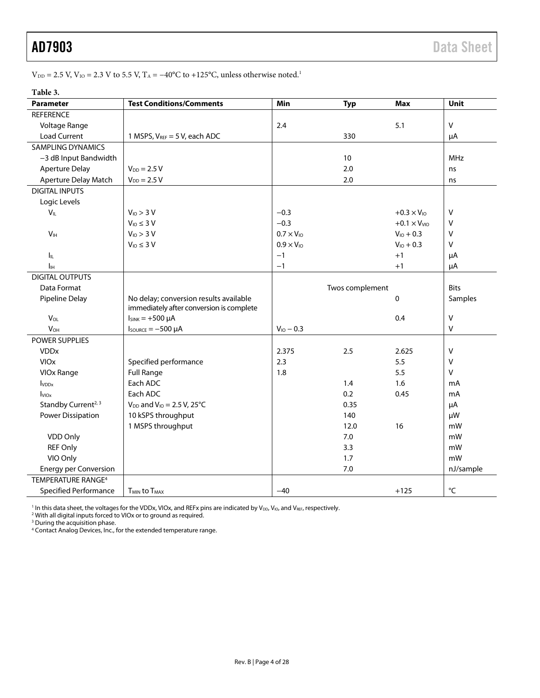VDD = 2.5 V, VIO = 2.3 V to 5.5 V, TA = −40°C to +125°C, unless otherwise noted.1

#### **Table 3.**

| <b>Parameter</b>                | <b>Test Conditions/Comments</b>                                                    | Min                 | <b>Typ</b>      | <b>Max</b>           | Unit              |
|---------------------------------|------------------------------------------------------------------------------------|---------------------|-----------------|----------------------|-------------------|
| <b>REFERENCE</b>                |                                                                                    |                     |                 |                      |                   |
| Voltage Range                   |                                                                                    | 2.4                 |                 | 5.1                  | $\vee$            |
| <b>Load Current</b>             | 1 MSPS, $V_{REF}$ = 5 V, each ADC                                                  |                     | 330             |                      | μA                |
| <b>SAMPLING DYNAMICS</b>        |                                                                                    |                     |                 |                      |                   |
| -3 dB Input Bandwidth           |                                                                                    |                     | 10              |                      | <b>MHz</b>        |
| <b>Aperture Delay</b>           | $V_{DD} = 2.5 V$                                                                   |                     | 2.0             |                      | ns                |
| Aperture Delay Match            | $V_{DD} = 2.5 V$                                                                   |                     | 2.0             |                      | ns                |
| <b>DIGITAL INPUTS</b>           |                                                                                    |                     |                 |                      |                   |
| Logic Levels                    |                                                                                    |                     |                 |                      |                   |
| $V_{IL}$                        | $V_{10}$ > 3 V                                                                     | $-0.3$              |                 | $+0.3 \times V_{10}$ | $\vee$            |
|                                 | $V_{10} \leq 3 V$                                                                  | $-0.3$              |                 | $+0.1 \times VVIO$   | $\vee$            |
| V <sub>IH</sub>                 | $V_{10}$ > 3 V                                                                     | $0.7 \times V_{10}$ |                 | $V_{10} + 0.3$       | V                 |
|                                 | $V_{10} \leq 3 V$                                                                  | $0.9 \times V_{10}$ |                 | $V_{10} + 0.3$       | $\vee$            |
| <b>I</b> IL                     |                                                                                    | $-1$                |                 | $+1$                 | μA                |
| Iін                             |                                                                                    | $-1$                |                 | $+1$                 | μA                |
| <b>DIGITAL OUTPUTS</b>          |                                                                                    |                     |                 |                      |                   |
| Data Format                     |                                                                                    |                     | Twos complement |                      | <b>Bits</b>       |
| Pipeline Delay                  | No delay; conversion results available<br>immediately after conversion is complete |                     |                 | 0                    | Samples           |
| VOL                             | $I_{SINK} = +500 \mu A$                                                            |                     |                 | 0.4                  | $\vee$            |
| <b>V<sub>OH</sub></b>           | $I_{\text{SOWRCE}} = -500 \mu A$                                                   | $V_{10} - 0.3$      |                 |                      | V                 |
| POWER SUPPLIES                  |                                                                                    |                     |                 |                      |                   |
| <b>VDD<sub>x</sub></b>          |                                                                                    | 2.375               | 2.5             | 2.625                | $\vee$            |
| <b>VIOx</b>                     | Specified performance                                                              | 2.3                 |                 | 5.5                  | $\vee$            |
| VIOx Range                      | <b>Full Range</b>                                                                  | 1.8                 |                 | 5.5                  | $\vee$            |
| $I_{VDDx}$                      | Each ADC                                                                           |                     | 1.4             | 1.6                  | mA                |
| $I_{VIOX}$                      | Each ADC                                                                           |                     | 0.2             | 0.45                 | mA                |
| Standby Current <sup>2, 3</sup> | $V_{DD}$ and $V_{IO} = 2.5 V$ , 25°C                                               |                     | 0.35            |                      | μA                |
| Power Dissipation               | 10 kSPS throughput                                                                 |                     | 140             |                      | μW                |
|                                 | 1 MSPS throughput                                                                  |                     | 12.0            | 16                   | mW                |
| VDD Only                        |                                                                                    |                     | 7.0             |                      | mW                |
| <b>REF Only</b>                 |                                                                                    |                     | 3.3             |                      | mW                |
| VIO Only                        |                                                                                    |                     | 1.7             |                      | mW                |
| <b>Energy per Conversion</b>    |                                                                                    |                     | 7.0             |                      | nJ/sample         |
| TEMPERATURE RANGE <sup>4</sup>  |                                                                                    |                     |                 |                      |                   |
| <b>Specified Performance</b>    | <b>TMIN to TMAX</b>                                                                | $-40$               |                 | $+125$               | $^{\circ}{\sf C}$ |

<sup>1</sup> In this data sheet, the voltages for the VDDx, VIOx, and REFx pins are indicated by V<sub>DD</sub>, V<sub>IO</sub>, and V<sub>REF</sub>, respectively.

<sup>2</sup> With all digital inputs forced to VIOx or to ground as required.

<sup>3</sup> During the acquisition phase.

<sup>4</sup> Contact Analog Devices, Inc., for the extended temperature range.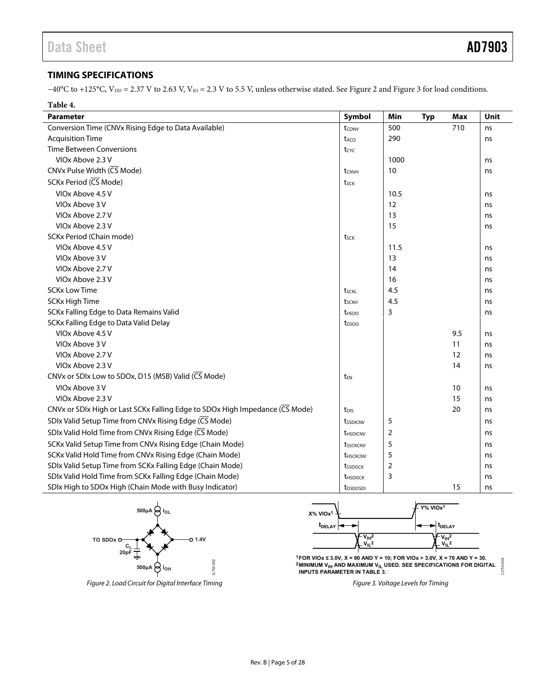### <span id="page-4-0"></span>**TIMING SPECIFICATIONS**

−40°C to +125°C, V<sub>DD</sub> = 2.37 V to 2.63 V, V<sub>IO</sub> = 2.3 V to 5.5 V, unless otherwise stated. Se[e Figure 2 a](#page-4-1)nd [Figure 3 f](#page-4-2)or load conditions.

| Table 4.                                                                     |                        |                |            |     |      |
|------------------------------------------------------------------------------|------------------------|----------------|------------|-----|------|
| <b>Parameter</b>                                                             | Symbol                 | Min            | <b>Typ</b> | Max | Unit |
| Conversion Time (CNVx Rising Edge to Data Available)                         | tconv                  | 500            |            | 710 | ns   |
| <b>Acquisition Time</b>                                                      | t <sub>ACO</sub>       | 290            |            |     | ns   |
| <b>Time Between Conversions</b>                                              | tcyc                   |                |            |     |      |
| VIOx Above 2.3 V                                                             |                        | 1000           |            |     | ns   |
| CNVx Pulse Width (CS Mode)                                                   | t <sub>CNVH</sub>      | 10             |            |     | ns   |
| SCKx Period (CS Mode)                                                        | tsck                   |                |            |     |      |
| VIOx Above 4.5 V                                                             |                        | 10.5           |            |     | ns   |
| VIOx Above 3 V                                                               |                        | 12             |            |     | ns   |
| VIOx Above 2.7 V                                                             |                        | 13             |            |     | ns   |
| VIOx Above 2.3 V                                                             |                        | 15             |            |     | ns   |
| SCKx Period (Chain mode)                                                     | tsck                   |                |            |     |      |
| VIOx Above 4.5 V                                                             |                        | 11.5           |            |     | ns   |
| VIOx Above 3 V                                                               |                        | 13             |            |     | ns   |
| VIOx Above 2.7 V                                                             |                        | 14             |            |     | ns   |
| VIOx Above 2.3 V                                                             |                        | 16             |            |     | ns   |
| <b>SCKx Low Time</b>                                                         | tsckl                  | 4.5            |            |     | ns   |
| SCKx High Time                                                               | tsckh                  | 4.5            |            |     | ns   |
| SCKx Falling Edge to Data Remains Valid                                      | t <sub>HSDO</sub>      | 3              |            |     | ns   |
| SCKx Falling Edge to Data Valid Delay                                        | t <sub>DSDO</sub>      |                |            |     |      |
| VIOx Above 4.5 V                                                             |                        |                |            | 9.5 | ns   |
| VIOx Above 3 V                                                               |                        |                |            | 11  | ns   |
| VIOx Above 2.7 V                                                             |                        |                |            | 12  | ns   |
| VIOx Above 2.3 V                                                             |                        |                |            | 14  | ns   |
| CNVx or SDIx Low to SDOx, D15 (MSB) Valid (CS Mode)                          | t <sub>EN</sub>        |                |            |     |      |
| VIOx Above 3 V                                                               |                        |                |            | 10  | ns   |
| VIOx Above 2.3 V                                                             |                        |                |            | 15  | ns   |
| CNVx or SDIx High or Last SCKx Falling Edge to SDOx High Impedance (CS Mode) | t <sub>DIS</sub>       |                |            | 20  | ns   |
| SDIx Valid Setup Time from CNVx Rising Edge (CS Mode)                        | tssdicny               | 5              |            |     | ns   |
| SDIx Valid Hold Time from CNVx Rising Edge (CS Mode)                         | <b><i>UHSDICNV</i></b> | $\overline{2}$ |            |     | ns   |
| SCKx Valid Setup Time from CNVx Rising Edge (Chain Mode)                     | tssckcnv               | 5              |            |     | ns   |
| SCKx Valid Hold Time from CNVx Rising Edge (Chain Mode)                      | t <sub>HSCKCNV</sub>   | 5              |            |     | ns   |
| SDIx Valid Setup Time from SCKx Falling Edge (Chain Mode)                    | tssdisck               | $\overline{2}$ |            |     | ns   |
| SDIx Valid Hold Time from SCKx Falling Edge (Chain Mode)                     | <b><i>UHSDISCK</i></b> | 3              |            |     | ns   |
| SDIx High to SDOx High (Chain Mode with Busy Indicator)                      | t <sub>DSDOSDI</sub>   |                |            | 15  | ns   |



<span id="page-4-1"></span>Figure 2. Load Circuit for Digital Interface Timing Figure 3. Voltage Levels for Timing



<span id="page-4-2"></span>**1FOR VIOx ≤ 3.0V, X = 90 AND Y = 10; FOR VIOx > 3.0V, X = 70 AND Y = 30.** 1755-003 11755-003**2MINIMUM V<sub>IH</sub> AND MAXIMUM V<sub>IL</sub> USED. SEE SPECIFICATIONS FOR DIGITAL INPUTS PARAMETER IN TABLE 3.**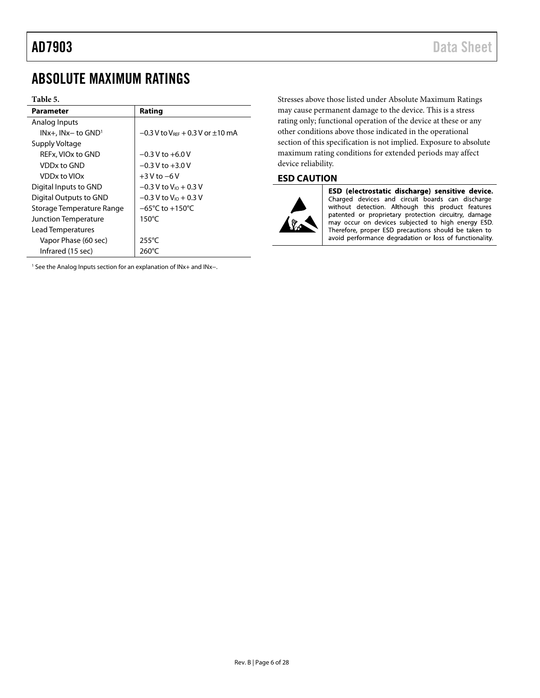## <span id="page-5-0"></span>ABSOLUTE MAXIMUM RATINGS

#### **Table 5.**

| Parameter                   | Rating                                              |
|-----------------------------|-----------------------------------------------------|
| Analog Inputs               |                                                     |
| $INx+$ , $INx-$ to $GND1$   | $-0.3$ V to V <sub>RFF</sub> + 0.3 V or $\pm$ 10 mA |
| Supply Voltage              |                                                     |
| REFx. VIOx to GND           | $-0.3$ V to $+6.0$ V                                |
| VDDx to GND                 | $-0.3 V$ to $+3.0 V$                                |
| VDDx to VIOx                | $+3$ V to $-6$ V                                    |
| Digital Inputs to GND       | $-0.3$ V to V <sub>io</sub> + 0.3 V                 |
| Digital Outputs to GND      | $-0.3$ V to V <sub>io</sub> + 0.3 V                 |
| Storage Temperature Range   | $-65^{\circ}$ C to $+150^{\circ}$ C                 |
| <b>Junction Temperature</b> | 150°C                                               |
| Lead Temperatures           |                                                     |
| Vapor Phase (60 sec)        | $255^{\circ}$ C                                     |
| Infrared (15 sec)           | $260^{\circ}$ C                                     |

<sup>1</sup> See th[e Analog Inputs s](#page-14-1)ection for an explanation of INx+ and INx-.

Stresses above those listed under Absolute Maximum Ratings may cause permanent damage to the device. This is a stress rating only; functional operation of the device at these or any other conditions above those indicated in the operational section of this specification is not implied. Exposure to absolute maximum rating conditions for extended periods may affect device reliability.

#### <span id="page-5-1"></span>**ESD CAUTION**



ESD (electrostatic discharge) sensitive device. Charged devices and circuit boards can discharge without detection. Although this product features patented or proprietary protection circuitry, damage may occur on devices subjected to high energy ESD. Therefore, proper ESD precautions should be taken to avoid performance degradation or loss of functionality.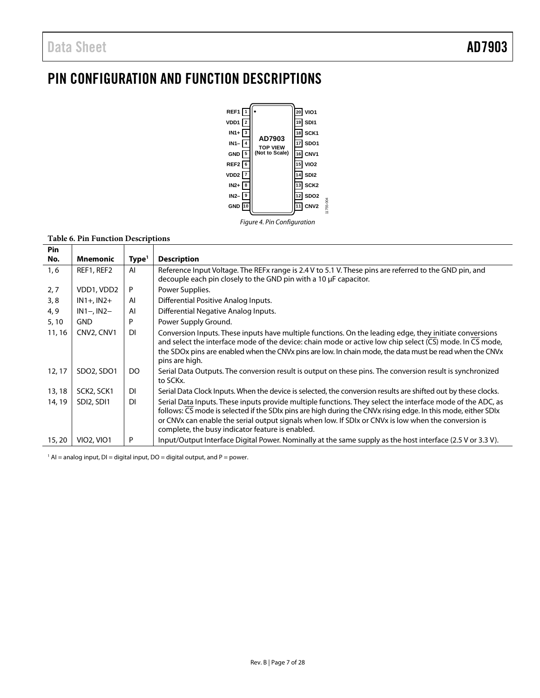## <span id="page-6-0"></span>PIN CONFIGURATION AND FUNCTION DESCRIPTIONS



#### **Table 6. Pin Function Descriptions**

| Pin    |                                     |                   |                                                                                                                                                                                                                                                                                                                                                                                             |
|--------|-------------------------------------|-------------------|---------------------------------------------------------------------------------------------------------------------------------------------------------------------------------------------------------------------------------------------------------------------------------------------------------------------------------------------------------------------------------------------|
| No.    | <b>Mnemonic</b>                     | Type <sup>1</sup> | <b>Description</b>                                                                                                                                                                                                                                                                                                                                                                          |
| 1, 6   | REF1, REF2                          | AI                | Reference Input Voltage. The REFx range is 2.4 V to 5.1 V. These pins are referred to the GND pin, and<br>decouple each pin closely to the GND pin with a 10 µF capacitor.                                                                                                                                                                                                                  |
| 2,7    | VDD1, VDD2                          | P                 | Power Supplies.                                                                                                                                                                                                                                                                                                                                                                             |
| 3, 8   | $IN1+, IN2+$                        | AI                | Differential Positive Analog Inputs.                                                                                                                                                                                                                                                                                                                                                        |
| 4, 9   | $IN1 - IN2 -$                       | AI                | Differential Negative Analog Inputs.                                                                                                                                                                                                                                                                                                                                                        |
| 5, 10  | <b>GND</b>                          | P                 | Power Supply Ground.                                                                                                                                                                                                                                                                                                                                                                        |
| 11, 16 | CNV2, CNV1                          | DI                | Conversion Inputs. These inputs have multiple functions. On the leading edge, they initiate conversions<br>and select the interface mode of the device: chain mode or active low chip select ( $\overline{\text{CS}}$ ) mode. In $\overline{\text{CS}}$ mode,<br>the SDOx pins are enabled when the CNVx pins are low. In chain mode, the data must be read when the CNVx<br>pins are high. |
| 12, 17 | SDO2, SDO1                          | DO                | Serial Data Outputs. The conversion result is output on these pins. The conversion result is synchronized<br>to SCKx.                                                                                                                                                                                                                                                                       |
| 13, 18 | SCK2, SCK1                          | DI                | Serial Data Clock Inputs. When the device is selected, the conversion results are shifted out by these clocks.                                                                                                                                                                                                                                                                              |
| 14, 19 | SDI <sub>2</sub> , SDI <sub>1</sub> | DI                | Serial Data Inputs. These inputs provide multiple functions. They select the interface mode of the ADC, as<br>follows: CS mode is selected if the SDIx pins are high during the CNVx rising edge. In this mode, either SDIx                                                                                                                                                                 |
|        |                                     |                   | or CNVx can enable the serial output signals when low. If SDIx or CNVx is low when the conversion is<br>complete, the busy indicator feature is enabled.                                                                                                                                                                                                                                    |
| 15, 20 | <b>VIO2, VIO1</b>                   | P                 | Input/Output Interface Digital Power. Nominally at the same supply as the host interface (2.5 V or 3.3 V).                                                                                                                                                                                                                                                                                  |

 $1$  AI = analog input, DI = digital input, DO = digital output, and P = power.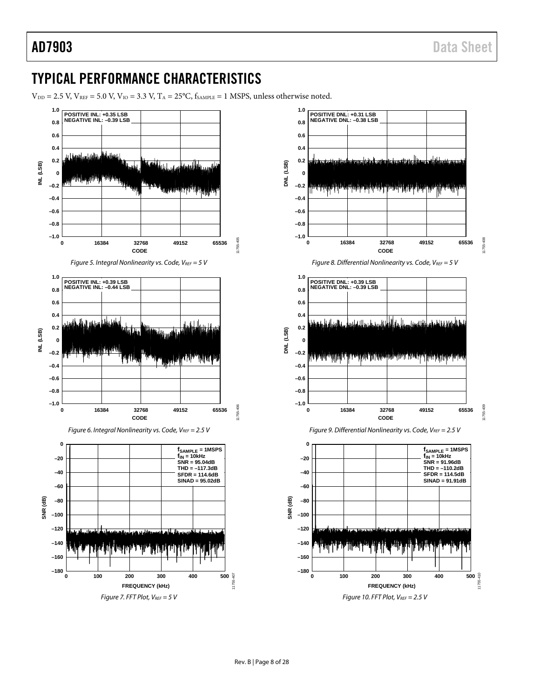## <span id="page-7-0"></span>TYPICAL PERFORMANCE CHARACTERISTICS

 $V_{DD} = 2.5$  V,  $V_{REF} = 5.0$  V,  $V_{IO} = 3.3$  V,  $T_A = 25$ °C,  $f_{SAMPLE} = 1$  MSPS, unless otherwise noted.

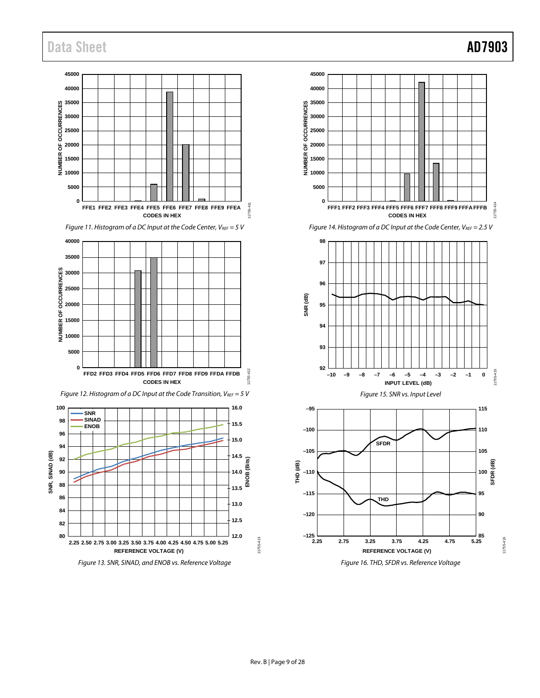## Data Sheet **AD7903**

11755-416

11755-416

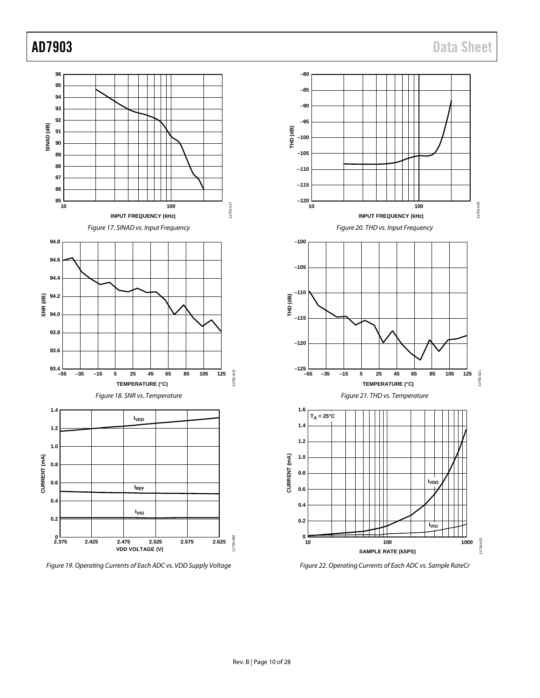

*Figure 19. Operating Currents of Each ADC vs. VDD Supply Voltage*

*Figure 22. Operating Currents of Each ADC vs. Sample RateCr*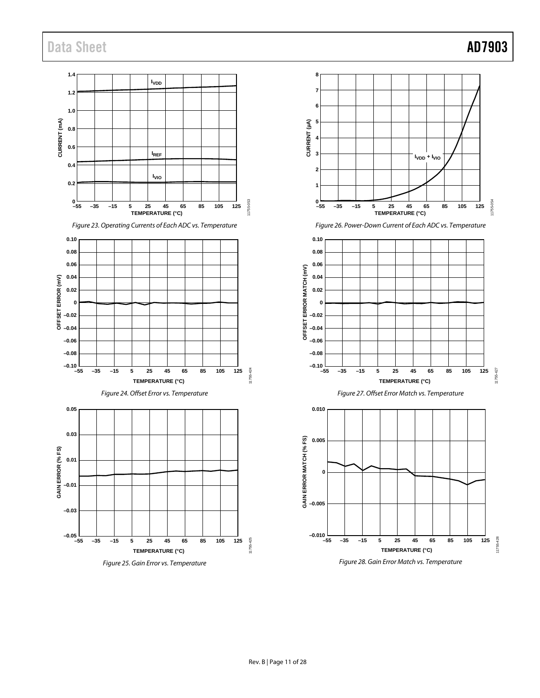## Data Sheet **AD7903**

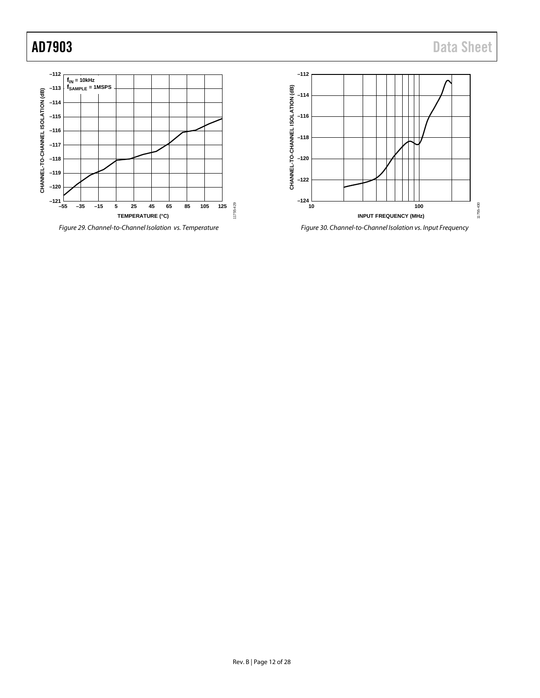

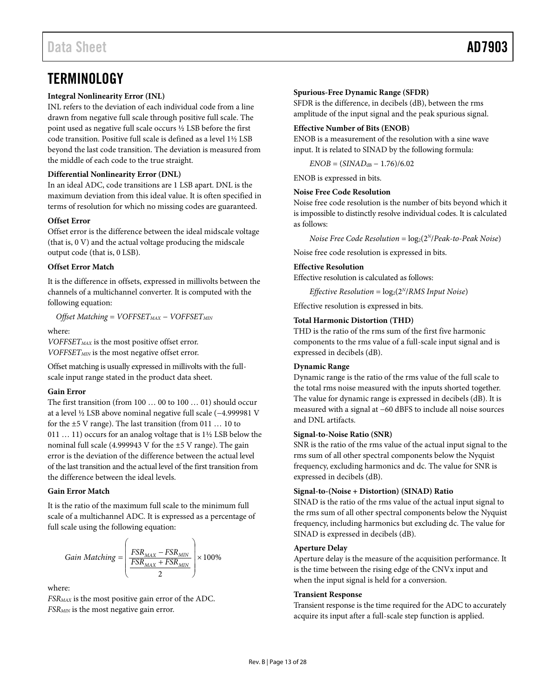## <span id="page-12-0"></span>**TERMINOLOGY**

#### **Integral Nonlinearity Error (INL)**

INL refers to the deviation of each individual code from a line drawn from negative full scale through positive full scale. The point used as negative full scale occurs ½ LSB before the first code transition. Positive full scale is defined as a level 1½ LSB beyond the last code transition. The deviation is measured from the middle of each code to the true straight.

#### **Differential Nonlinearity Error (DNL)**

In an ideal ADC, code transitions are 1 LSB apart. DNL is the maximum deviation from this ideal value. It is often specified in terms of resolution for which no missing codes are guaranteed.

#### **Offset Error**

Offset error is the difference between the ideal midscale voltage (that is, 0 V) and the actual voltage producing the midscale output code (that is, 0 LSB).

#### **Offset Error Match**

It is the difference in offsets, expressed in millivolts between the channels of a multichannel converter. It is computed with the following equation:

 $O$ *ffset Matching* = *VOFFSET<sub>MAX</sub>* − *VOFFSET<sub>MIN</sub>* 

where:

*VOFFSET<sub>MAX</sub>* is the most positive offset error. *VOFFSETMIN* is the most negative offset error.

Offset matching is usually expressed in millivolts with the fullscale input range stated in the product data sheet.

#### **Gain Error**

The first transition (from 100 … 00 to 100 … 01) should occur at a level ½ LSB above nominal negative full scale (−4.999981 V for the ±5 V range). The last transition (from 011 … 10 to 011 … 11) occurs for an analog voltage that is 1½ LSB below the nominal full scale (4.999943 V for the  $\pm$ 5 V range). The gain error is the deviation of the difference between the actual level of the last transition and the actual level of the first transition from the difference between the ideal levels.

#### **Gain Error Match**

It is the ratio of the maximum full scale to the minimum full scale of a multichannel ADC. It is expressed as a percentage of full scale using the following equation:

Gain Matching = 
$$
\left(\frac{FSR_{MAX} - FSR_{MIN}}{\frac{FSR_{MAX} + FSR_{MIN}}{2}}\right) \times 100\%
$$

#### where:

*FSRMAX* is the most positive gain error of the ADC. *FSRMIN* is the most negative gain error.

#### **Spurious-Free Dynamic Range (SFDR)**

SFDR is the difference, in decibels (dB), between the rms amplitude of the input signal and the peak spurious signal.

#### **Effective Number of Bits (ENOB)**

ENOB is a measurement of the resolution with a sine wave input. It is related to SINAD by the following formula:

 $ENDB = (SIMAD<sub>dB</sub> - 1.76)/6.02$ 

ENOB is expressed in bits.

#### **Noise Free Code Resolution**

Noise free code resolution is the number of bits beyond which it is impossible to distinctly resolve individual codes. It is calculated as follows:

*Noise Free Code Resolution* =  $log_2(2^N/Peak-to-Peak Noise)$ 

Noise free code resolution is expressed in bits.

#### **Effective Resolution**

Effective resolution is calculated as follows:

*Effective Resolution* =  $log_2(2^N/RMS \text{ Input Noise})$ 

Effective resolution is expressed in bits.

#### **Total Harmonic Distortion (THD)**

THD is the ratio of the rms sum of the first five harmonic components to the rms value of a full-scale input signal and is expressed in decibels (dB).

#### **Dynamic Range**

Dynamic range is the ratio of the rms value of the full scale to the total rms noise measured with the inputs shorted together. The value for dynamic range is expressed in decibels (dB). It is measured with a signal at −60 dBFS to include all noise sources and DNL artifacts.

#### **Signal-to-Noise Ratio (SNR)**

SNR is the ratio of the rms value of the actual input signal to the rms sum of all other spectral components below the Nyquist frequency, excluding harmonics and dc. The value for SNR is expressed in decibels (dB).

#### **Signal-to-(Noise + Distortion) (SINAD) Ratio**

SINAD is the ratio of the rms value of the actual input signal to the rms sum of all other spectral components below the Nyquist frequency, including harmonics but excluding dc. The value for SINAD is expressed in decibels (dB).

#### **Aperture Delay**

Aperture delay is the measure of the acquisition performance. It is the time between the rising edge of the CNVx input and when the input signal is held for a conversion.

#### **Transient Response**

Transient response is the time required for the ADC to accurately acquire its input after a full-scale step function is applied.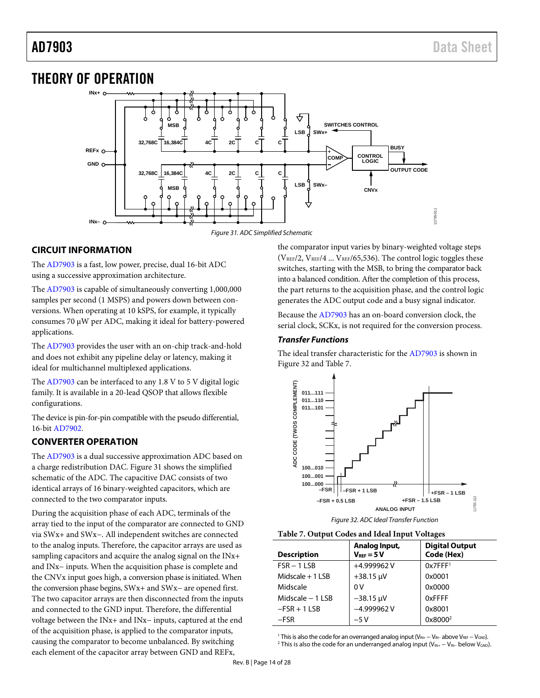## <span id="page-13-0"></span>THEORY OF OPERATION



#### <span id="page-13-3"></span><span id="page-13-1"></span>**CIRCUIT INFORMATION**

The [AD7903 i](http://www.analog.com/AD7903?doc=AD7903.pdf)s a fast, low power, precise, dual 16-bit ADC using a successive approximation architecture.

The [AD7903 i](http://www.analog.com/AD7903?doc=AD7903.pdf)s capable of simultaneously converting 1,000,000 samples per second (1 MSPS) and powers down between conversions. When operating at 10 kSPS, for example, it typically consumes 70 μW per ADC, making it ideal for battery-powered applications.

The [AD7903 p](http://www.analog.com/AD7903?doc=AD7903.pdf)rovides the user with an on-chip track-and-hold and does not exhibit any pipeline delay or latency, making it ideal for multichannel multiplexed applications.

The [AD7903](http://www.analog.com/AD7903?doc=AD7903.pdf) can be interfaced to any 1.8 V to 5 V digital logic family. It is available in a 20-lead QSOP that allows flexible configurations.

The device is pin-for-pin compatible with the pseudo differential, 16-bi[t AD7902.](http://www.analog.com/AD7902?doc=AD7903.pdf) 

#### <span id="page-13-2"></span>**CONVERTER OPERATION**

The [AD7903 i](http://www.analog.com/AD7903?doc=AD7903.pdf)s a dual successive approximation ADC based on a charge redistribution DAC[. Figure 31 s](#page-13-3)hows the simplified schematic of the ADC. The capacitive DAC consists of two identical arrays of 16 binary-weighted capacitors, which are connected to the two comparator inputs.

During the acquisition phase of each ADC, terminals of the array tied to the input of the comparator are connected to GND via SWx+ and SWx−. All independent switches are connected to the analog inputs. Therefore, the capacitor arrays are used as sampling capacitors and acquire the analog signal on the INx+ and INx− inputs. When the acquisition phase is complete and the CNVx input goes high, a conversion phase is initiated. When the conversion phase begins, SWx+ and SWx− are opened first. The two capacitor arrays are then disconnected from the inputs and connected to the GND input. Therefore, the differential voltage between the INx+ and INx− inputs, captured at the end of the acquisition phase, is applied to the comparator inputs, causing the comparator to become unbalanced. By switching each element of the capacitor array between GND and REFx,

the comparator input varies by binary-weighted voltage steps ( $V_{REF}/2$ ,  $V_{REF}/4$  ...  $V_{REF}/65,536$ ). The control logic toggles these switches, starting with the MSB, to bring the comparator back into a balanced condition. After the completion of this process, the part returns to the acquisition phase, and the control logic generates the ADC output code and a busy signal indicator.

Because the [AD7903 h](http://www.analog.com/AD7903?doc=AD7903.pdf)as an on-board conversion clock, the serial clock, SCKx, is not required for the conversion process.

#### **Transfer Functions**

The ideal transfer characteristic for th[e AD7903](http://www.analog.com/AD7903?doc=AD7903.pdf) is shown in [Figure 32 a](#page-13-4)n[d Table 7.](#page-13-5) 



Figure 32. ADC Ideal Transfer Function

<span id="page-13-5"></span><span id="page-13-4"></span>

| <b>Description</b> | Analog Input,<br>$V_{REF} = 5V$ | <b>Digital Output</b><br>Code (Hex) |
|--------------------|---------------------------------|-------------------------------------|
| $FSR - 1$ LSB      | +4.999962V                      | 0x7FFF <sup>1</sup>                 |
| Midscale $+1$ LSB  | $+38.15 \text{ }\mu\text{V}$    | 0x0001                              |
| Midscale           | 0V                              | 0x0000                              |
| Midscale $-1$ LSB  | $-38.15 \mu V$                  | 0xFFFF                              |
| $-FSR + 1 LSB$     | $-4.999962V$                    | 0x8001                              |
| $-FSR$             | $-5V$                           | 0x8000 <sup>2</sup>                 |

1 This is also the code for an overranged analog input (V<sub>IN+</sub> − V<sub>IN−</sub> above V<sub>REF</sub> − V<sub>GND</sub>).<br><sup>2</sup> This is also the code for an underranged analog input (V<sub>IN+ −</sub> V<sub>IN+</sub> helow V<sub>CND</sub>) <sup>2</sup> This is also the code for an underranged analog input (V<sub>IN+</sub> − V<sub>IN</sub>− below V<sub>GND</sub>).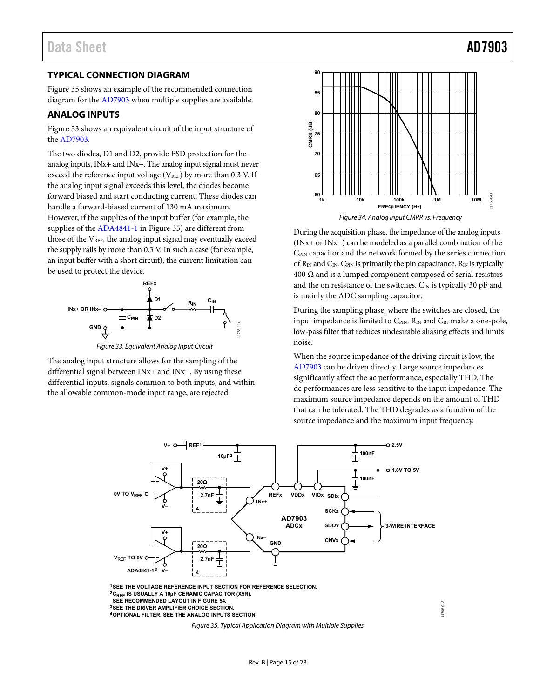### <span id="page-14-0"></span>**TYPICAL CONNECTION DIAGRAM**

[Figure 35 s](#page-14-2)hows an example of the recommended connection diagram for the [AD7903 w](http://www.analog.com/AD7903?doc=AD7903.pdf)hen multiple supplies are available.

#### <span id="page-14-1"></span>**ANALOG INPUTS**

[Figure 33 s](#page-14-3)hows an equivalent circuit of the input structure of the [AD7903.](http://www.analog.com/AD7903?doc=AD7903.pdf)

The two diodes, D1 and D2, provide ESD protection for the analog inputs, INx+ and INx−. The analog input signal must never exceed the reference input voltage ( $V_{REF}$ ) by more than 0.3 V. If the analog input signal exceeds this level, the diodes become forward biased and start conducting current. These diodes can handle a forward-biased current of 130 mA maximum. However, if the supplies of the input buffer (for example, the supplies of th[e ADA4841-1 i](http://www.analog.com/ADA4841-1?doc=AD7903.pdf)[n Figure 35\)](#page-14-2) are different from those of the  $V_{REF}$ , the analog input signal may eventually exceed the supply rails by more than 0.3 V. In such a case (for example, an input buffer with a short circuit), the current limitation can be used to protect the device.



Figure 33. Equivalent Analog Input Circuit

<span id="page-14-3"></span>The analog input structure allows for the sampling of the differential signal between INx+ and INx−. By using these differential inputs, signals common to both inputs, and within the allowable common-mode input range, are rejected.



During the acquisition phase, the impedance of the analog inputs (INx+ or INx−) can be modeled as a parallel combination of the C<sub>PIN</sub> capacitor and the network formed by the series connection of  $R_{IN}$  and  $C_{IN}$ . C<sub>PIN</sub> is primarily the pin capacitance.  $R_{IN}$  is typically 400  $Ω$  and is a lumped component composed of serial resistors and the on resistance of the switches.  $C_{IN}$  is typically 30 pF and is mainly the ADC sampling capacitor.

During the sampling phase, where the switches are closed, the input impedance is limited to  $C_{PN}$ . R<sub>IN</sub> and  $C_{IN}$  make a one-pole, low-pass filter that reduces undesirable aliasing effects and limits noise.

When the source impedance of the driving circuit is low, the [AD7903 c](http://www.analog.com/AD7903?doc=AD7903.pdf)an be driven directly. Large source impedances significantly affect the ac performance, especially THD. The dc performances are less sensitive to the input impedance. The maximum source impedance depends on the amount of THD that can be tolerated. The THD degrades as a function of the source impedance and the maximum input frequency.

11755-013

1755-013



<span id="page-14-2"></span>**4OPTIONAL FILTER. SEE THE ANALOG INPUTS SECTION.**

Figure 35. Typical Application Diagram with Multiple Supplies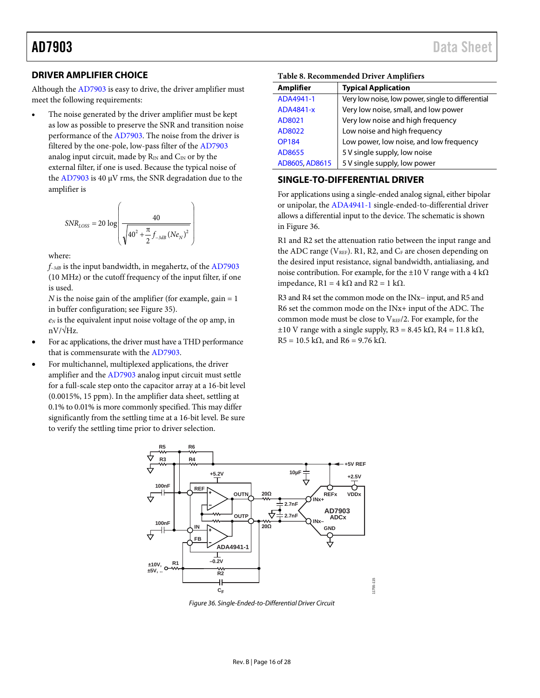#### <span id="page-15-0"></span>**DRIVER AMPLIFIER CHOICE**

Although th[e AD7903](http://www.analog.com/AD7903?doc=AD7903.pdf) is easy to drive, the driver amplifier must meet the following requirements:

The noise generated by the driver amplifier must be kept as low as possible to preserve the SNR and transition noise performance of the [AD7903.](http://www.analog.com/AD7903?doc=AD7903.pdf) The noise from the driver is filtered by the one-pole, low-pass filter of the [AD7903](http://www.analog.com/AD7903?doc=AD7903.pdf) analog input circuit, made by  $R_{IN}$  and  $C_{IN}$  or by the external filter, if one is used. Because the typical noise of the [AD7903](http://www.analog.com/AD7903?doc=AD7903.pdf) is 40 µV rms, the SNR degradation due to the amplifier is

$$
SNR_{LOSS} = 20 \log \left( \frac{40}{\sqrt{40^2 + \frac{\pi}{2} f_{-3dB} (Ne_N)^2}} \right)
$$

where:

*f−3dB* is the input bandwidth, in megahertz, of the [AD7903](http://www.analog.com/AD7903?doc=AD7903.pdf) (10 MHz) or the cutoff frequency of the input filter, if one is used.

*N* is the noise gain of the amplifier (for example, gain  $= 1$ in buffer configuration; see [Figure 35\)](#page-14-2).

*eN* is the equivalent input noise voltage of the op amp, in  $nV/\sqrt{Hz}$ .

- For ac applications, the driver must have a THD performance that is commensurate with the [AD7903.](http://www.analog.com/AD7903?doc=AD7903.pdf)
- For multichannel, multiplexed applications, the driver amplifier and the [AD7903](http://www.analog.com/AD7903?doc=AD7903.pdf) analog input circuit must settle for a full-scale step onto the capacitor array at a 16-bit level (0.0015%, 15 ppm). In the amplifier data sheet, settling at 0.1% to 0.01% is more commonly specified. This may differ significantly from the settling time at a 16-bit level. Be sure to verify the settling time prior to driver selection.

| <b>Amplifier</b> | <b>Typical Application</b>                        |  |  |
|------------------|---------------------------------------------------|--|--|
| ADA4941-1        | Very low noise, low power, single to differential |  |  |
| ADA4841-x        | Very low noise, small, and low power              |  |  |
| AD8021           | Very low noise and high frequency                 |  |  |
| AD8022           | Low noise and high frequency                      |  |  |
| <b>OP184</b>     | Low power, low noise, and low frequency           |  |  |
| AD8655           | 5 V single supply, low noise                      |  |  |
| AD8605, AD8615   | 5 V single supply, low power                      |  |  |

#### **Table 8. Recommended Driver Amplifiers**

#### <span id="page-15-1"></span>**SINGLE-TO-DIFFERENTIAL DRIVER**

For applications using a single-ended analog signal, either bipolar or unipolar, the [ADA4941-1](http://www.analog.com/ADA4941-1?doc=AD7903.pdf) single-ended-to-differential driver allows a differential input to the device. The schematic is shown in [Figure 36.](#page-15-2)

R1 and R2 set the attenuation ratio between the input range and the ADC range ( $V_{REF}$ ). R1, R2, and  $C_F$  are chosen depending on the desired input resistance, signal bandwidth, antialiasing, and noise contribution. For example, for the ±10 V range with a 4 kΩ impedance,  $R1 = 4 kΩ$  and  $R2 = 1 kΩ$ .

R3 and R4 set the common mode on the INx− input, and R5 and R6 set the common mode on the INx+ input of the ADC. The common mode must be close to VREF/2. For example, for the  $\pm 10$  V range with a single supply, R3 = 8.45 kΩ, R4 = 11.8 kΩ, R5 = 10.5 k $\Omega$ , and R6 = 9.76 k $\Omega$ .



<span id="page-15-2"></span>*Figure 36. Single-Ended-to-Differential Driver Circuit*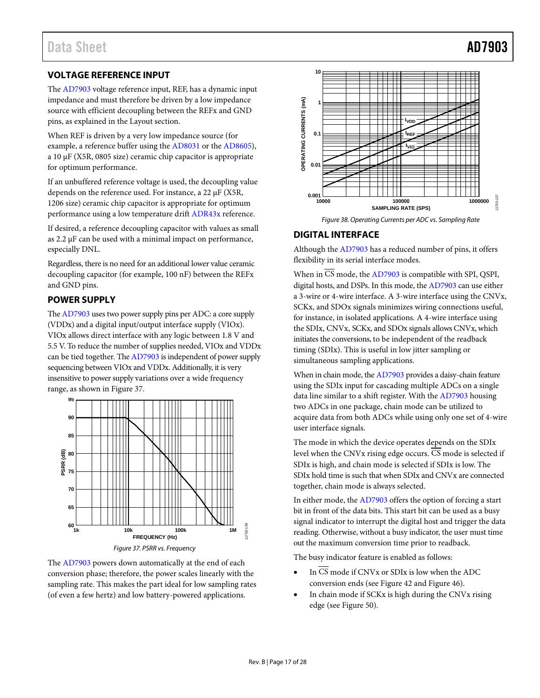### <span id="page-16-0"></span>**VOLTAGE REFERENCE INPUT**

The [AD7903](http://www.analog.com/AD7903?doc=AD7903.pdf) voltage reference input, REF, has a dynamic input impedance and must therefore be driven by a low impedance source with efficient decoupling between the REFx and GND pins, as explained in the [Layout](#page-25-0) section.

When REF is driven by a very low impedance source (for example, a reference buffer using the [AD8031](http://www.analog.com/AD8031?doc=AD7903.pdf) or th[e AD8605\)](http://www.analog.com/AD8605?doc=AD7903.pdf), a 10 µF (X5R, 0805 size) ceramic chip capacitor is appropriate for optimum performance.

If an unbuffered reference voltage is used, the decoupling value depends on the reference used. For instance, a 22 µF (X5R, 1206 size) ceramic chip capacitor is appropriate for optimum performance using a low temperature drif[t ADR43x](http://www.analog.com/ADR43?doc=AD7903.pdf) reference.

If desired, a reference decoupling capacitor with values as small as 2.2 µF can be used with a minimal impact on performance, especially DNL.

Regardless, there is no need for an additional lower value ceramic decoupling capacitor (for example, 100 nF) between the REFx and GND pins.

### <span id="page-16-1"></span>**POWER SUPPLY**

Th[e AD7903](http://www.analog.com/AD7903?doc=AD7903.pdf) uses two power supply pins per ADC: a core supply (VDDx) and a digital input/output interface supply (VIOx). VIOx allows direct interface with any logic between 1.8 V and 5.5 V. To reduce the number of supplies needed, VIOx and VDDx can be tied together. Th[e AD7903](http://www.analog.com/AD7903?doc=AD7903.pdf) is independent of power supply sequencing between VIOx and VDDx. Additionally, it is very insensitive to power supply variations over a wide frequency range, as shown in [Figure 37.](#page-16-3)



*Figure 37. PSRR vs. Frequency*

<span id="page-16-3"></span>The [AD7903](http://www.analog.com/AD7903?doc=AD7903.pdf) powers down automatically at the end of each conversion phase; therefore, the power scales linearly with the sampling rate. This makes the part ideal for low sampling rates (of even a few hertz) and low battery-powered applications.



#### *Figure 38. Operating Currents per ADC vs. Sampling Rate*

### <span id="page-16-2"></span>**DIGITAL INTERFACE**

Although th[e AD7903](http://www.analog.com/AD7903?doc=AD7903.pdf) has a reduced number of pins, it offers flexibility in its serial interface modes.

When in CS mode, th[e AD7903](http://www.analog.com/AD7903?doc=AD7903.pdf) is compatible with SPI, QSPI, digital hosts, and DSPs. In this mode, th[e AD7903](http://www.analog.com/AD7903?doc=AD7903.pdf) can use either a 3-wire or 4-wire interface. A 3-wire interface using the CNVx, SCKx, and SDOx signals minimizes wiring connections useful, for instance, in isolated applications. A 4-wire interface using the SDIx, CNVx, SCKx, and SDOx signals allows CNVx, which initiates the conversions, to be independent of the readback timing (SDIx). This is useful in low jitter sampling or simultaneous sampling applications.

When in chain mode, the [AD7903](http://www.analog.com/AD7903?doc=AD7903.pdf) provides a daisy-chain feature using the SDIx input for cascading multiple ADCs on a single data line similar to a shift register. With the [AD7903](http://www.analog.com/AD7903?doc=AD7903.pdf) housing two ADCs in one package, chain mode can be utilized to acquire data from both ADCs while using only one set of 4-wire user interface signals.

The mode in which the device operates depends on the SDIx level when the CNVx rising edge occurs.  $\overline{\text{CS}}$  mode is selected if SDIx is high, and chain mode is selected if SDIx is low. The SDIx hold time is such that when SDIx and CNVx are connected together, chain mode is always selected.

In either mode, the [AD7903](http://www.analog.com/AD7903?doc=AD7903.pdf) offers the option of forcing a start bit in front of the data bits. This start bit can be used as a busy signal indicator to interrupt the digital host and trigger the data reading. Otherwise, without a busy indicator, the user must time out the maximum conversion time prior to readback.

The busy indicator feature is enabled as follows:

- In CS mode if CNVx or SDIx is low when the ADC conversion ends (se[e Figure 42](#page-18-0) and [Figure 46\)](#page-20-0).
- In chain mode if SCKx is high during the CNVx rising edge (see [Figure 50\)](#page-22-0).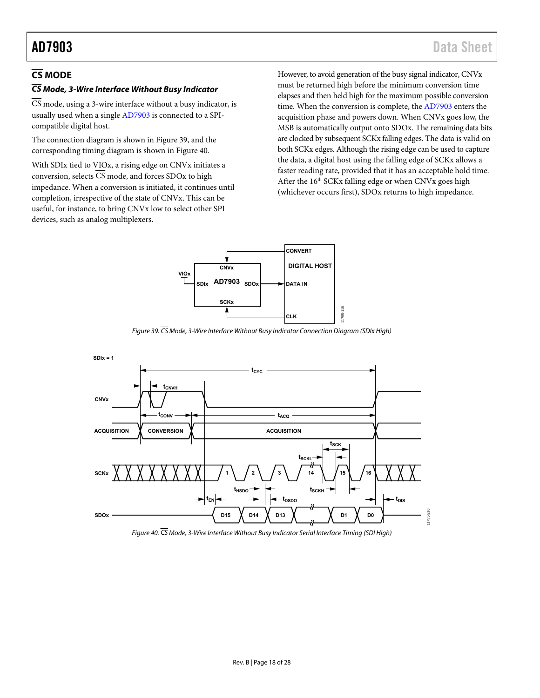### <span id="page-17-0"></span>**CS MODE**

### **CS Mode, 3-Wire Interface Without Busy Indicator**

CS mode, using a 3-wire interface without a busy indicator, is usually used when a singl[e AD7903](http://www.analog.com/AD7903?doc=AD7903.pdf) is connected to a SPIcompatible digital host.

The connection diagram is shown in [Figure 39,](#page-17-1) and the corresponding timing diagram is shown in [Figure 40.](#page-17-2) 

With SDIx tied to VIOx, a rising edge on CNVx initiates a conversion, selects  $\overline{CS}$  mode, and forces SDOx to high impedance. When a conversion is initiated, it continues until completion, irrespective of the state of CNVx. This can be useful, for instance, to bring CNVx low to select other SPI devices, such as analog multiplexers.

However, to avoid generation of the busy signal indicator, CNVx must be returned high before the minimum conversion time elapses and then held high for the maximum possible conversion time. When the conversion is complete, the [AD7903](http://www.analog.com/AD7903?doc=AD7903.pdf) enters the acquisition phase and powers down. When CNVx goes low, the MSB is automatically output onto SDOx. The remaining data bits are clocked by subsequent SCKx falling edges. The data is valid on both SCKx edges. Although the rising edge can be used to capture the data, a digital host using the falling edge of SCKx allows a faster reading rate, provided that it has an acceptable hold time. After the  $16<sup>th</sup>$  SCKx falling edge or when CNVx goes high (whichever occurs first), SDOx returns to high impedance.



Figure 39. CS Mode, 3-Wire Interface Without Busy Indicator Connection Diagram (SDIx High)

<span id="page-17-1"></span>

<span id="page-17-2"></span>Figure 40.  $\overline{CS}$  Mode, 3-Wire Interface Without Busy Indicator Serial Interface Timing (SDI High)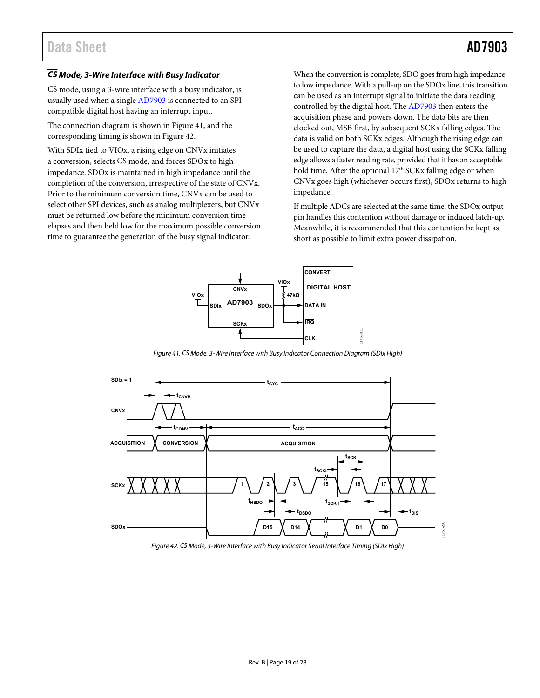#### **CS Mode, 3-Wire Interface with Busy Indicator**

 $\overline{CS}$  mode, using a 3-wire interface with a busy indicator, is usually used when a singl[e AD7903](http://www.analog.com/AD7903?doc=AD7903.pdf) is connected to an SPIcompatible digital host having an interrupt input.

The connection diagram is shown in [Figure 41,](#page-18-1) and the corresponding timing is shown in [Figure 42.](#page-18-0) 

With SDIx tied to VIOx, a rising edge on CNVx initiates a conversion, selects  $\overline{\text{CS}}$  mode, and forces SDOx to high impedance. SDOx is maintained in high impedance until the completion of the conversion, irrespective of the state of CNVx. Prior to the minimum conversion time, CNVx can be used to select other SPI devices, such as analog multiplexers, but CNVx must be returned low before the minimum conversion time elapses and then held low for the maximum possible conversion time to guarantee the generation of the busy signal indicator.

When the conversion is complete, SDO goes from high impedance to low impedance. With a pull-up on the SDOx line, this transition can be used as an interrupt signal to initiate the data reading controlled by the digital host. Th[e AD7903](http://www.analog.com/AD7903?doc=AD7903.pdf) then enters the acquisition phase and powers down. The data bits are then clocked out, MSB first, by subsequent SCKx falling edges. The data is valid on both SCKx edges. Although the rising edge can be used to capture the data, a digital host using the SCKx falling edge allows a faster reading rate, provided that it has an acceptable hold time. After the optional  $17<sup>th</sup>$  SCKx falling edge or when CNVx goes high (whichever occurs first), SDOx returns to high impedance.

If multiple ADCs are selected at the same time, the SDOx output pin handles this contention without damage or induced latch-up. Meanwhile, it is recommended that this contention be kept as short as possible to limit extra power dissipation.



Figure 41. CS Mode, 3-Wire Interface with Busy Indicator Connection Diagram (SDIx High)

<span id="page-18-1"></span>

<span id="page-18-0"></span>Figure 42. CS Mode, 3-Wire Interface with Busy Indicator Serial Interface Timing (SDIx High)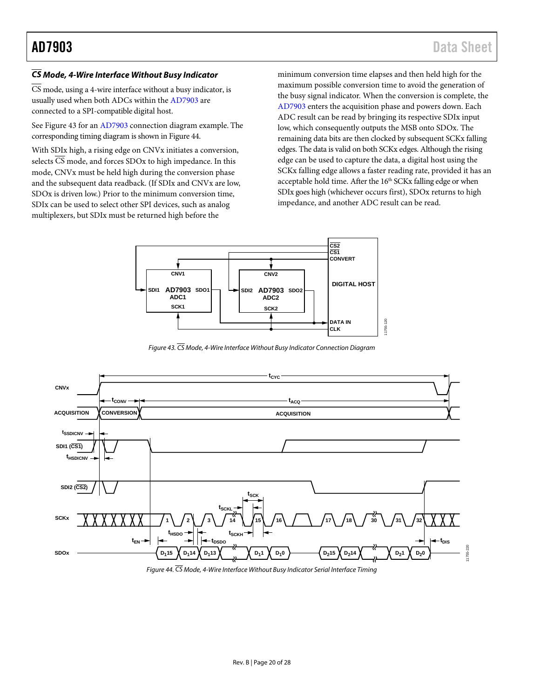### **CS Mode, 4-Wire Interface Without Busy Indicator**

 $\overline{\text{CS}}$  mode, using a 4-wire interface without a busy indicator, is usually used when both ADCs within the [AD7903](http://www.analog.com/AD7903?doc=AD7903.pdf) are connected to a SPI-compatible digital host.

See [Figure 43 f](#page-19-0)or a[n AD7903](http://www.analog.com/AD7903?doc=AD7903.pdf) connection diagram example. The corresponding timing diagram is shown i[n Figure 44.](#page-19-1) 

With SDIx high, a rising edge on CNVx initiates a conversion, selects  $\overline{CS}$  mode, and forces SDOx to high impedance. In this mode, CNVx must be held high during the conversion phase and the subsequent data readback. (If SDIx and CNVx are low, SDOx is driven low.) Prior to the minimum conversion time, SDIx can be used to select other SPI devices, such as analog multiplexers, but SDIx must be returned high before the

minimum conversion time elapses and then held high for the maximum possible conversion time to avoid the generation of the busy signal indicator. When the conversion is complete, the [AD7903 e](http://www.analog.com/AD7903?doc=AD7903.pdf)nters the acquisition phase and powers down. Each ADC result can be read by bringing its respective SDIx input low, which consequently outputs the MSB onto SDOx. The remaining data bits are then clocked by subsequent SCKx falling edges. The data is valid on both SCKx edges. Although the rising edge can be used to capture the data, a digital host using the SCKx falling edge allows a faster reading rate, provided it has an acceptable hold time. After the  $16<sup>th</sup>$  SCKx falling edge or when SDIx goes high (whichever occurs first), SDOx returns to high impedance, and another ADC result can be read.



Figure 43.  $\overline{\text{CS}}$  Mode, 4-Wire Interface Without Busy Indicator Connection Diagram

<span id="page-19-0"></span>

<span id="page-19-1"></span>Figure 44.  $\overline{\text{CS}}$  Mode, 4-Wire Interface Without Busy Indicator Serial Interface Timing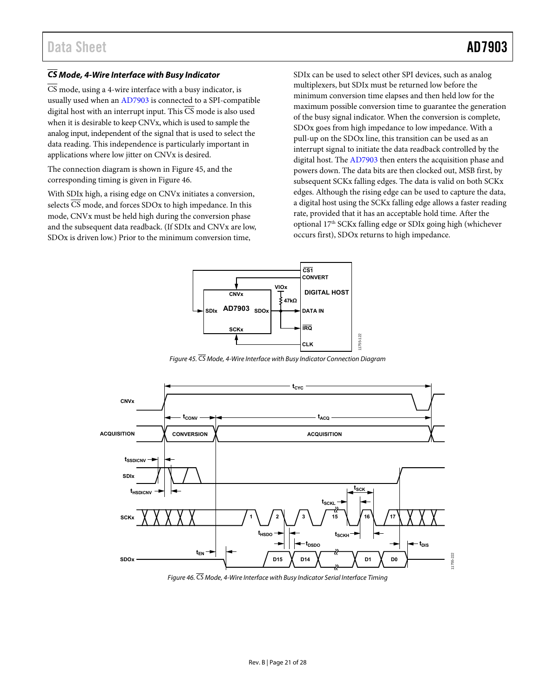#### **CS Mode, 4-Wire Interface with Busy Indicator**

 $\overline{CS}$  mode, using a 4-wire interface with a busy indicator, is usually used when a[n AD7903](http://www.analog.com/AD7903?doc=AD7903.pdf) is connected to a SPI-compatible digital host with an interrupt input. This  $\overline{CS}$  mode is also used when it is desirable to keep CNVx, which is used to sample the analog input, independent of the signal that is used to select the data reading. This independence is particularly important in applications where low jitter on CNVx is desired.

The connection diagram is shown in [Figure 45,](#page-20-1) and the corresponding timing is given i[n Figure 46.](#page-20-0) 

With SDIx high, a rising edge on CNVx initiates a conversion, selects CS mode, and forces SDOx to high impedance. In this mode, CNVx must be held high during the conversion phase and the subsequent data readback. (If SDIx and CNVx are low, SDOx is driven low.) Prior to the minimum conversion time,

SDIx can be used to select other SPI devices, such as analog multiplexers, but SDIx must be returned low before the minimum conversion time elapses and then held low for the maximum possible conversion time to guarantee the generation of the busy signal indicator. When the conversion is complete, SDOx goes from high impedance to low impedance. With a pull-up on the SDOx line, this transition can be used as an interrupt signal to initiate the data readback controlled by the digital host. The [AD7903 t](http://www.analog.com/AD7903?doc=AD7903.pdf)hen enters the acquisition phase and powers down. The data bits are then clocked out, MSB first, by subsequent SCKx falling edges. The data is valid on both SCKx edges. Although the rising edge can be used to capture the data, a digital host using the SCKx falling edge allows a faster reading rate, provided that it has an acceptable hold time. After the optional 17th SCKx falling edge or SDIx going high (whichever occurs first), SDOx returns to high impedance.



Figure 45. CS Mode, 4-Wire Interface with Busy Indicator Connection Diagram

<span id="page-20-1"></span>

<span id="page-20-0"></span>Figure 46. CS Mode, 4-Wire Interface with Busy Indicator Serial Interface Timing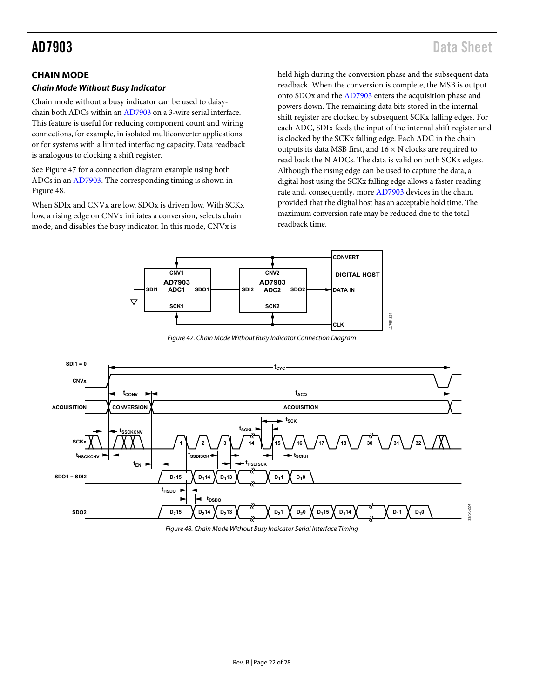### <span id="page-21-0"></span>**CHAIN MODE**

#### **Chain Mode Without Busy Indicator**

Chain mode without a busy indicator can be used to daisychain both ADCs within a[n AD7903 o](http://www.analog.com/AD7903?doc=AD7903.pdf)n a 3-wire serial interface. This feature is useful for reducing component count and wiring connections, for example, in isolated multiconverter applications or for systems with a limited interfacing capacity. Data readback is analogous to clocking a shift register.

See [Figure 47 f](#page-21-1)or a connection diagram example using both ADCs in an [AD7903.](http://www.analog.com/AD7903?doc=AD7903.pdf) The corresponding timing is shown in [Figure 48.](#page-21-2) 

When SDIx and CNVx are low, SDOx is driven low. With SCKx low, a rising edge on CNVx initiates a conversion, selects chain mode, and disables the busy indicator. In this mode, CNVx is

held high during the conversion phase and the subsequent data readback. When the conversion is complete, the MSB is output onto SDOx and th[e AD7903](http://www.analog.com/AD7903?doc=AD7903.pdf) enters the acquisition phase and powers down. The remaining data bits stored in the internal shift register are clocked by subsequent SCKx falling edges. For each ADC, SDIx feeds the input of the internal shift register and is clocked by the SCKx falling edge. Each ADC in the chain outputs its data MSB first, and  $16 \times N$  clocks are required to read back the N ADCs. The data is valid on both SCKx edges. Although the rising edge can be used to capture the data, a digital host using the SCKx falling edge allows a faster reading rate and, consequently, mor[e AD7903 d](http://www.analog.com/AD7903?doc=AD7903.pdf)evices in the chain, provided that the digital host has an acceptable hold time. The maximum conversion rate may be reduced due to the total readback time.



Figure 47. Chain Mode Without Busy Indicator Connection Diagram

<span id="page-21-1"></span>

<span id="page-21-2"></span>Figure 48. Chain Mode Without Busy Indicator Serial Interface Timing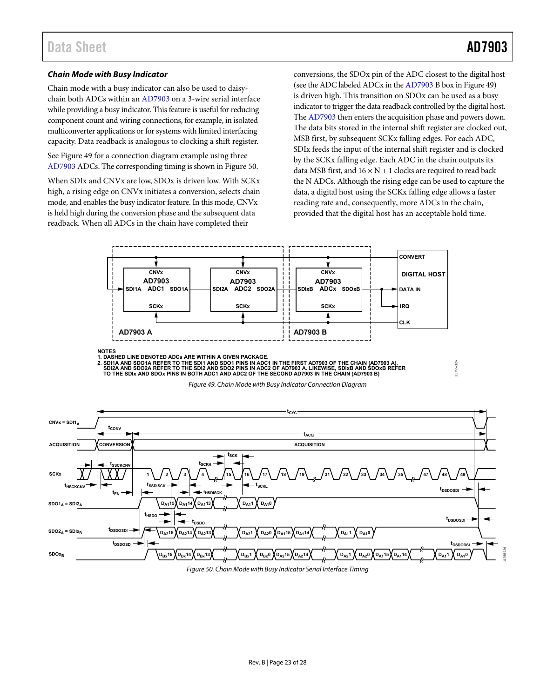#### **Chain Mode with Busy Indicator**

Chain mode with a busy indicator can also be used to daisychain both ADCs within an [AD7903 o](http://www.analog.com/AD7903?doc=AD7903.pdf)n a 3-wire serial interface while providing a busy indicator. This feature is useful for reducing component count and wiring connections, for example, in isolated multiconverter applications or for systems with limited interfacing capacity. Data readback is analogous to clocking a shift register.

See [Figure 49 f](#page-22-1)or a connection diagram example using three [AD7903 A](http://www.analog.com/AD7903?doc=AD7903.pdf)DCs. The corresponding timing is shown i[n Figure 50.](#page-22-0) 

When SDIx and CNVx are low, SDOx is driven low. With SCKx high, a rising edge on CNVx initiates a conversion, selects chain mode, and enables the busy indicator feature. In this mode, CNVx is held high during the conversion phase and the subsequent data readback. When all ADCs in the chain have completed their

conversions, the SDOx pin of the ADC closest to the digital host (see the ADC labeled ADCx in the [AD7903 B](http://www.analog.com/AD7903?doc=AD7903.pdf) box i[n Figure 49\)](#page-22-1) is driven high. This transition on SDOx can be used as a busy indicator to trigger the data readback controlled by the digital host. Th[e AD7903 t](http://www.analog.com/AD7903?doc=AD7903.pdf)hen enters the acquisition phase and powers down. The data bits stored in the internal shift register are clocked out, MSB first, by subsequent SCKx falling edges. For each ADC, SDIx feeds the input of the internal shift register and is clocked by the SCKx falling edge. Each ADC in the chain outputs its data MSB first, and  $16 \times N + 1$  clocks are required to read back the N ADCs. Although the rising edge can be used to capture the data, a digital host using the SCKx falling edge allows a faster reading rate and, consequently, more ADCs in the chain, provided that the digital host has an acceptable hold time.

<span id="page-22-1"></span>

<span id="page-22-0"></span>Figure 50. Chain Mode with Busy Indicator Serial Interface Timing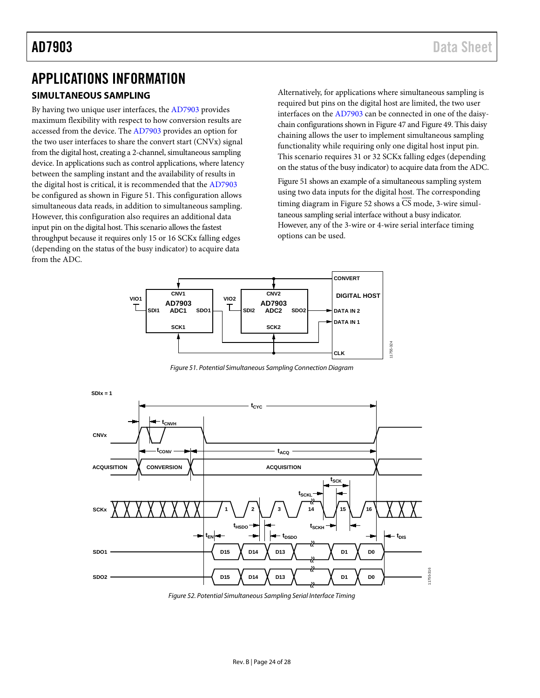## <span id="page-23-0"></span>APPLICATIONS INFORMATION

### <span id="page-23-1"></span>**SIMULTANEOUS SAMPLING**

By having two unique user interfaces, the [AD7903](http://www.analog.com/AD7903?doc=AD7903.pdf) provides maximum flexibility with respect to how conversion results are accessed from the device. Th[e AD7903](http://www.analog.com/AD7903?doc=AD7903.pdf) provides an option for the two user interfaces to share the convert start (CNVx) signal from the digital host, creating a 2-channel, simultaneous sampling device. In applications such as control applications, where latency between the sampling instant and the availability of results in the digital host is critical, it is recommended that th[e AD7903](http://www.analog.com/AD7903?doc=AD7903.pdf) be configured as shown i[n Figure 51.](#page-23-2) This configuration allows simultaneous data reads, in addition to simultaneous sampling. However, this configuration also requires an additional data input pin on the digital host. This scenario allows the fastest throughput because it requires only 15 or 16 SCKx falling edges (depending on the status of the busy indicator) to acquire data from the ADC.

Alternatively, for applications where simultaneous sampling is required but pins on the digital host are limited, the two user interfaces on the [AD7903](http://www.analog.com/AD7903?doc=AD7903.pdf) can be connected in one of the daisychain configurations shown i[n Figure 47](#page-21-1) an[d Figure 49.](#page-22-1) This daisy chaining allows the user to implement simultaneous sampling functionality while requiring only one digital host input pin. This scenario requires 31 or 32 SCKx falling edges (depending on the status of the busy indicator) to acquire data from the ADC.

[Figure 51](#page-23-2) shows an example of a simultaneous sampling system using two data inputs for the digital host. The corresponding timing diagram in [Figure 52](#page-23-3) shows a CS mode, 3-wire simultaneous sampling serial interface without a busy indicator. However, any of the 3-wire or 4-wire serial interface timing options can be used.



*Figure 51. Potential Simultaneous Sampling Connection Diagram*

<span id="page-23-2"></span>

<span id="page-23-3"></span>*Figure 52. Potential Simultaneous Sampling Serial Interface Timing*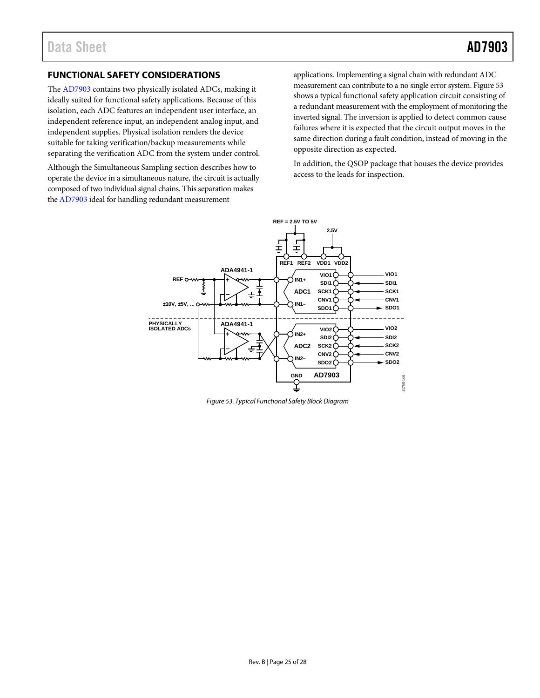### <span id="page-24-0"></span>**FUNCTIONAL SAFETY CONSIDERATIONS**

The [AD7903](http://www.analog.com/AD7903?doc=AD7903) contains two physically isolated ADCs, making it ideally suited for functional safety applications. Because of this isolation, each ADC features an independent user interface, an independent reference input, an independent analog input, and independent supplies. Physical isolation renders the device suitable for taking verification/backup measurements while separating the verification ADC from the system under control.

Although th[e Simultaneous Sampling](#page-23-1) section describes how to operate the device in a simultaneous nature, the circuit is actually composed of two individual signal chains. This separation makes th[e AD7903](http://www.analog.com/AD7903?doc=AD7903.pdf) ideal for handling redundant measurement

applications. Implementing a signal chain with redundant ADC measurement can contribute to a no single error system[. Figure 53](#page-24-1) shows a typical functional safety application circuit consisting of a redundant measurement with the employment of monitoring the inverted signal. The inversion is applied to detect common cause failures where it is expected that the circuit output moves in the same direction during a fault condition, instead of moving in the opposite direction as expected.

In addition, the QSOP package that houses the device provides access to the leads for inspection.



<span id="page-24-1"></span>*Figure 53. Typical Functional Safety Block Diagram*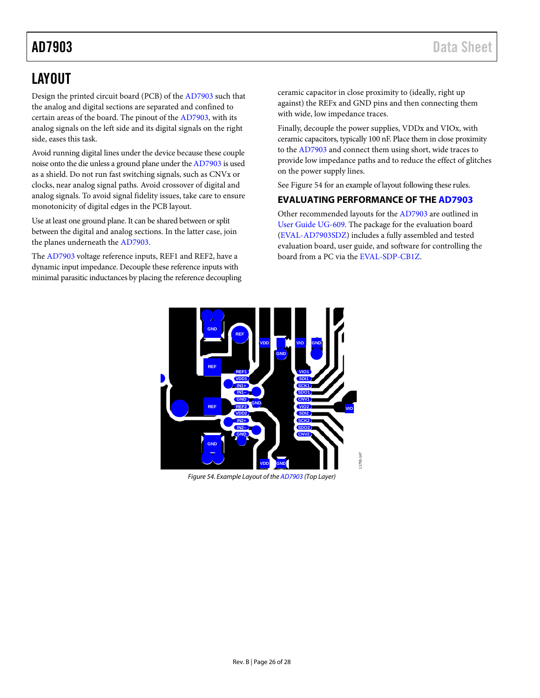## <span id="page-25-0"></span>LAYOUT

Design the printed circuit board (PCB) of the [AD7903](http://www.analog.com/AD7903?doc=AD7903.pdf) such that the analog and digital sections are separated and confined to certain areas of the board. The pinout of th[e AD7903,](http://www.analog.com/AD7903?doc=AD7903.pdf) with its analog signals on the left side and its digital signals on the right side, eases this task.

Avoid running digital lines under the device because these couple noise onto the die unless a ground plane under th[e AD7903](http://www.analog.com/AD7903?doc=AD7903.pdf) is used as a shield. Do not run fast switching signals, such as CNVx or clocks, near analog signal paths. Avoid crossover of digital and analog signals. To avoid signal fidelity issues, take care to ensure monotonicity of digital edges in the PCB layout.

Use at least one ground plane. It can be shared between or split between the digital and analog sections. In the latter case, join the planes underneath the [AD7903.](http://www.analog.com/AD7903?doc=AD7903.pdf)

The [AD7903](http://www.analog.com/AD7903?doc=AD7903.pdf) voltage reference inputs, REF1 and REF2, have a dynamic input impedance. Decouple these reference inputs with minimal parasitic inductances by placing the reference decoupling ceramic capacitor in close proximity to (ideally, right up against) the REFx and GND pins and then connecting them with wide, low impedance traces.

Finally, decouple the power supplies, VDDx and VIOx, with ceramic capacitors, typically 100 nF. Place them in close proximity to the [AD7903](http://www.analog.com/AD7903?doc=AD7903.pdf) and connect them using short, wide traces to provide low impedance paths and to reduce the effect of glitches on the power supply lines.

See [Figure 54](#page-25-2) for an example of layout following these rules.

### <span id="page-25-1"></span>**EVALUATING PERFORMANCE OF THE [AD7903](http://www.analog.com/AD7903?doc=AD7903.pdf)**

Other recommended layouts for th[e AD7903](http://www.analog.com/AD7903?doc=AD7903.pdf) are outlined in [User Guide UG-609.](http://www.analog.com/UG-609?doc=AD7903.pdf) The package for the evaluation board [\(EVAL-AD7903SDZ\)](http://www.analog.com/AD7903?doc=AD7903.pdf) includes a fully assembled and tested evaluation board, user guide, and software for controlling the board from a PC via the [EVAL-SDP-CB1Z.](http://www.analog.com/EVAL-SDP-CB1Z?doc=AD7903.pdf)



<span id="page-25-2"></span>*Figure 54. Example Layout of th[e AD7903](http://www.analog.com/AD7903?doc=AD7903.pdf) (Top Layer)*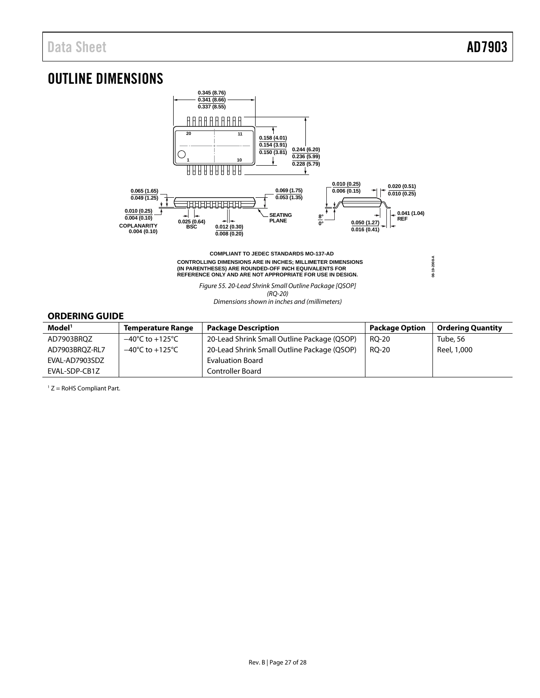**08-19-2008-A**

08-19-2008-A

## <span id="page-26-0"></span>OUTLINE DIMENSIONS



**COMPLIANT TO JEDEC STANDARDS MO-137-AD CONTROLLING DIMENSIONS ARE IN INCHES; MILLIMETER DIMENSIONS (IN PARENTHESES) ARE ROUNDED-OFF INCH EQUIVALENTS FOR REFERENCE ONLY AND ARE NOT APPROPRIATE FOR USE IN DESIGN.**

> Figure 55. 20-Lead Shrink Small Outline Package [QSOP] (RQ-20)

Dimensions shown in inches and (millimeters)

### <span id="page-26-1"></span>**ORDERING GUIDE**

| Model <sup>1</sup> | <b>Temperature Range</b>            | <b>Package Description</b>                  | <b>Package Option</b> | <b>Ordering Quantity</b> |
|--------------------|-------------------------------------|---------------------------------------------|-----------------------|--------------------------|
| AD7903BRQZ         | $-40^{\circ}$ C to $+125^{\circ}$ C | 20-Lead Shrink Small Outline Package (QSOP) | RO-20                 | Tube, 56                 |
| AD7903BROZ-RL7     | $-40^{\circ}$ C to $+125^{\circ}$ C | 20-Lead Shrink Small Outline Package (QSOP) | RO-20                 | Reel, 1,000              |
| EVAL-AD7903SDZ     |                                     | <b>Evaluation Board</b>                     |                       |                          |
| EVAL-SDP-CB1Z      |                                     | Controller Board                            |                       |                          |

 $1 Z =$  RoHS Compliant Part.